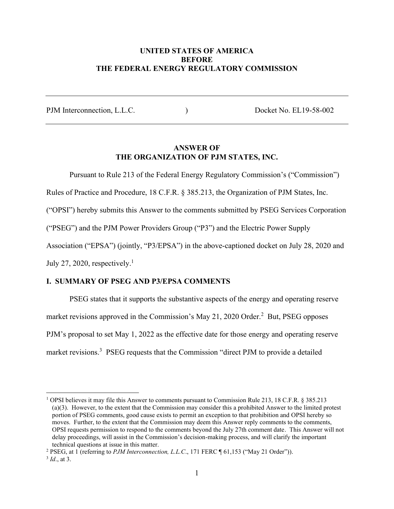# **UNITED STATES OF AMERICA BEFORE THE FEDERAL ENERGY REGULATORY COMMISSION**

PJM Interconnection, L.L.C.  $Docket No. EL19-58-002$ 

# **ANSWER OF THE ORGANIZATION OF PJM STATES, INC.**

Pursuant to Rule 213 of the Federal Energy Regulatory Commission's ("Commission")

Rules of Practice and Procedure, 18 C.F.R. § 385.213, the Organization of PJM States, Inc.

("OPSI") hereby submits this Answer to the comments submitted by PSEG Services Corporation

("PSEG") and the PJM Power Providers Group ("P3") and the Electric Power Supply

Association ("EPSA") (jointly, "P3/EPSA") in the above-captioned docket on July 28, 2020 and

July 27, 2020, respectively.<sup>1</sup>

## **I. SUMMARY OF PSEG AND P3/EPSA COMMENTS**

PSEG states that it supports the substantive aspects of the energy and operating reserve market revisions approved in the Commission's May 21, 2020 Order.<sup>2</sup> But, PSEG opposes PJM's proposal to set May 1, 2022 as the effective date for those energy and operating reserve market revisions.<sup>3</sup> PSEG requests that the Commission "direct PJM to provide a detailed

<sup>1</sup> OPSI believes it may file this Answer to comments pursuant to Commission Rule 213, 18 C.F.R. § 385.213 (a)(3). However, to the extent that the Commission may consider this a prohibited Answer to the limited protest portion of PSEG comments, good cause exists to permit an exception to that prohibition and OPSI hereby so moves. Further, to the extent that the Commission may deem this Answer reply comments to the comments, OPSI requests permission to respond to the comments beyond the July 27th comment date. This Answer will not delay proceedings, will assist in the Commission's decision-making process, and will clarify the important technical questions at issue in this matter.

<sup>&</sup>lt;sup>2</sup> PSEG, at 1 (referring to *PJM Interconnection, L.L.C.*, 171 FERC ¶ 61,153 ("May 21 Order")).

<sup>3</sup> *Id*., at 3.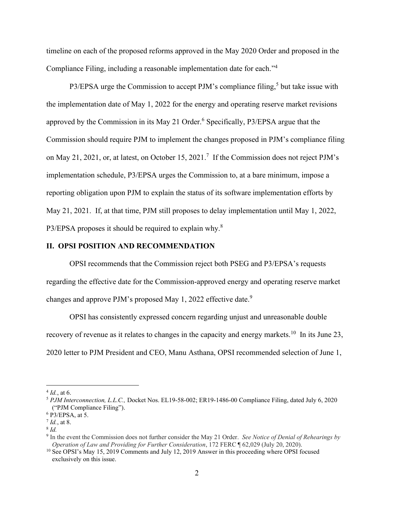timeline on each of the proposed reforms approved in the May 2020 Order and proposed in the Compliance Filing, including a reasonable implementation date for each."<sup>4</sup>

P3/EPSA urge the Commission to accept PJM's compliance filing,<sup>5</sup> but take issue with the implementation date of May 1, 2022 for the energy and operating reserve market revisions approved by the Commission in its May 21 Order.<sup>6</sup> Specifically, P3/EPSA argue that the Commission should require PJM to implement the changes proposed in PJM's compliance filing on May 21, 2021, or, at latest, on October 15, 2021.<sup>7</sup> If the Commission does not reject PJM's implementation schedule, P3/EPSA urges the Commission to, at a bare minimum, impose a reporting obligation upon PJM to explain the status of its software implementation efforts by May 21, 2021. If, at that time, PJM still proposes to delay implementation until May 1, 2022, P3/EPSA proposes it should be required to explain why.<sup>8</sup>

#### **II. OPSI POSITION AND RECOMMENDATION**

OPSI recommends that the Commission reject both PSEG and P3/EPSA's requests regarding the effective date for the Commission-approved energy and operating reserve market changes and approve PJM's proposed May 1, 2022 effective date.<sup>9</sup>

OPSI has consistently expressed concern regarding unjust and unreasonable double recovery of revenue as it relates to changes in the capacity and energy markets.<sup>10</sup> In its June 23, 2020 letter to PJM President and CEO, Manu Asthana, OPSI recommended selection of June 1,

 $4$  *Id.*, at 6.

<sup>5</sup> *PJM Interconnection, L.L.C.,* Docket Nos. EL19-58-002; ER19-1486-00 Compliance Filing, dated July 6, 2020 ("PJM Compliance Filing").

<sup>6</sup> P3/EPSA, at 5.

<sup>7</sup> *Id.*, at 8.

<sup>8</sup> *Id.*

<sup>9</sup> In the event the Commission does not further consider the May 21 Order. *See Notice of Denial of Rehearings by Operation of Law and Providing for Further Consideration*, 172 FERC ¶ 62,029 (July 20, 2020).

<sup>&</sup>lt;sup>10</sup> See OPSI's May 15, 2019 Comments and July 12, 2019 Answer in this proceeding where OPSI focused exclusively on this issue.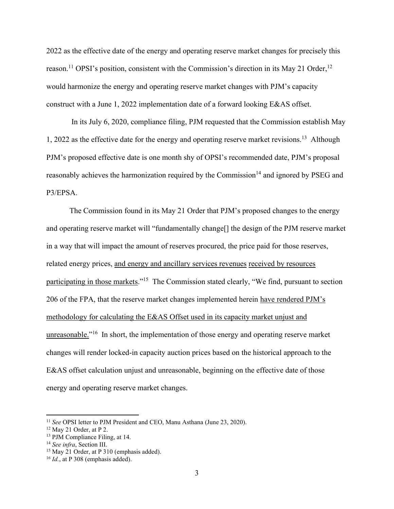2022 as the effective date of the energy and operating reserve market changes for precisely this reason.<sup>11</sup> OPSI's position, consistent with the Commission's direction in its May 21 Order,<sup>12</sup> would harmonize the energy and operating reserve market changes with PJM's capacity construct with a June 1, 2022 implementation date of a forward looking E&AS offset.

In its July 6, 2020, compliance filing, PJM requested that the Commission establish May 1, 2022 as the effective date for the energy and operating reserve market revisions.<sup>13</sup> Although PJM's proposed effective date is one month shy of OPSI's recommended date, PJM's proposal reasonably achieves the harmonization required by the Commission<sup>14</sup> and ignored by PSEG and P3/EPSA.

The Commission found in its May 21 Order that PJM's proposed changes to the energy and operating reserve market will "fundamentally change[] the design of the PJM reserve market in a way that will impact the amount of reserves procured, the price paid for those reserves, related energy prices, and energy and ancillary services revenues received by resources participating in those markets."<sup>15</sup> The Commission stated clearly, "We find, pursuant to section 206 of the FPA, that the reserve market changes implemented herein have rendered PJM's methodology for calculating the E&AS Offset used in its capacity market unjust and unreasonable."<sup>16</sup> In short, the implementation of those energy and operating reserve market changes will render locked-in capacity auction prices based on the historical approach to the E&AS offset calculation unjust and unreasonable, beginning on the effective date of those energy and operating reserve market changes.

<sup>11</sup> *See* OPSI letter to PJM President and CEO, Manu Asthana (June 23, 2020).

 $12$  May 21 Order, at P 2.

<sup>13</sup> PJM Compliance Filing, at 14.

<sup>14</sup> *See infra*, Section III.

<sup>&</sup>lt;sup>15</sup> May 21 Order, at P 310 (emphasis added).

<sup>16</sup> *Id.*, at P 308 (emphasis added).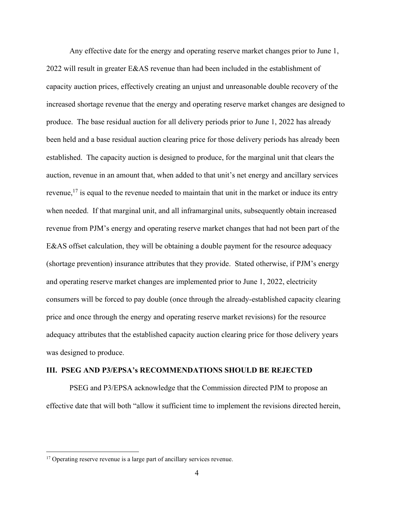Any effective date for the energy and operating reserve market changes prior to June 1, 2022 will result in greater E&AS revenue than had been included in the establishment of capacity auction prices, effectively creating an unjust and unreasonable double recovery of the increased shortage revenue that the energy and operating reserve market changes are designed to produce. The base residual auction for all delivery periods prior to June 1, 2022 has already been held and a base residual auction clearing price for those delivery periods has already been established. The capacity auction is designed to produce, for the marginal unit that clears the auction, revenue in an amount that, when added to that unit's net energy and ancillary services revenue,  $17$  is equal to the revenue needed to maintain that unit in the market or induce its entry when needed. If that marginal unit, and all inframarginal units, subsequently obtain increased revenue from PJM's energy and operating reserve market changes that had not been part of the E&AS offset calculation, they will be obtaining a double payment for the resource adequacy (shortage prevention) insurance attributes that they provide. Stated otherwise, if PJM's energy and operating reserve market changes are implemented prior to June 1, 2022, electricity consumers will be forced to pay double (once through the already-established capacity clearing price and once through the energy and operating reserve market revisions) for the resource adequacy attributes that the established capacity auction clearing price for those delivery years was designed to produce.

### **III. PSEG AND P3/EPSA's RECOMMENDATIONS SHOULD BE REJECTED**

PSEG and P3/EPSA acknowledge that the Commission directed PJM to propose an effective date that will both "allow it sufficient time to implement the revisions directed herein,

<sup>&</sup>lt;sup>17</sup> Operating reserve revenue is a large part of ancillary services revenue.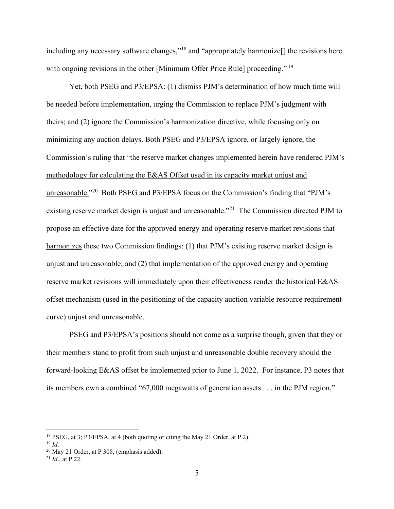including any necessary software changes,"<sup>18</sup> and "appropriately harmonize<sup>[]</sup> the revisions here with ongoing revisions in the other [Minimum Offer Price Rule] proceeding."<sup>19</sup>

Yet, both PSEG and P3/EPSA: (1) dismiss PJM's determination of how much time will be needed before implementation, urging the Commission to replace PJM's judgment with theirs; and (2) ignore the Commission's harmonization directive, while focusing only on minimizing any auction delays. Both PSEG and P3/EPSA ignore, or largely ignore, the Commission's ruling that "the reserve market changes implemented herein have rendered PJM's methodology for calculating the E&AS Offset used in its capacity market unjust and unreasonable."20 Both PSEG and P3/EPSA focus on the Commission's finding that "PJM's existing reserve market design is unjust and unreasonable."<sup>21</sup> The Commission directed PJM to propose an effective date for the approved energy and operating reserve market revisions that harmonizes these two Commission findings: (1) that PJM's existing reserve market design is unjust and unreasonable; and (2) that implementation of the approved energy and operating reserve market revisions will immediately upon their effectiveness render the historical E&AS offset mechanism (used in the positioning of the capacity auction variable resource requirement curve) unjust and unreasonable.

PSEG and P3/EPSA's positions should not come as a surprise though, given that they or their members stand to profit from such unjust and unreasonable double recovery should the forward-looking E&AS offset be implemented prior to June 1, 2022. For instance, P3 notes that its members own a combined "67,000 megawatts of generation assets . . . in the PJM region,"

<sup>&</sup>lt;sup>18</sup> PSEG, at 3; P3/EPSA, at 4 (both quoting or citing the May 21 Order, at P 2).<br><sup>19</sup> *Id*. <sup>20</sup> May 21 Order, at P 308, (emphasis added).

<sup>21</sup> *Id*., at P 22.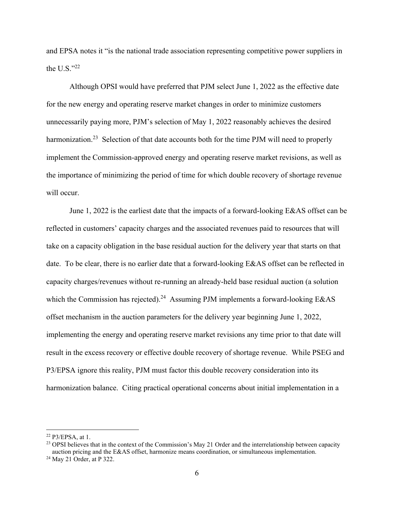and EPSA notes it "is the national trade association representing competitive power suppliers in the U.S. $"^{22}$ 

Although OPSI would have preferred that PJM select June 1, 2022 as the effective date for the new energy and operating reserve market changes in order to minimize customers unnecessarily paying more, PJM's selection of May 1, 2022 reasonably achieves the desired harmonization.<sup>23</sup> Selection of that date accounts both for the time PJM will need to properly implement the Commission-approved energy and operating reserve market revisions, as well as the importance of minimizing the period of time for which double recovery of shortage revenue will occur.

June 1, 2022 is the earliest date that the impacts of a forward-looking E&AS offset can be reflected in customers' capacity charges and the associated revenues paid to resources that will take on a capacity obligation in the base residual auction for the delivery year that starts on that date. To be clear, there is no earlier date that a forward-looking E&AS offset can be reflected in capacity charges/revenues without re-running an already-held base residual auction (a solution which the Commission has rejected).<sup>24</sup> Assuming PJM implements a forward-looking E&AS offset mechanism in the auction parameters for the delivery year beginning June 1, 2022, implementing the energy and operating reserve market revisions any time prior to that date will result in the excess recovery or effective double recovery of shortage revenue. While PSEG and P3/EPSA ignore this reality, PJM must factor this double recovery consideration into its harmonization balance. Citing practical operational concerns about initial implementation in a

 $22$  P3/EPSA, at 1.

<sup>&</sup>lt;sup>23</sup> OPSI believes that in the context of the Commission's May 21 Order and the interrelationship between capacity auction pricing and the E&AS offset, harmonize means coordination, or simultaneous implementation.

<sup>24</sup> May 21 Order, at P 322.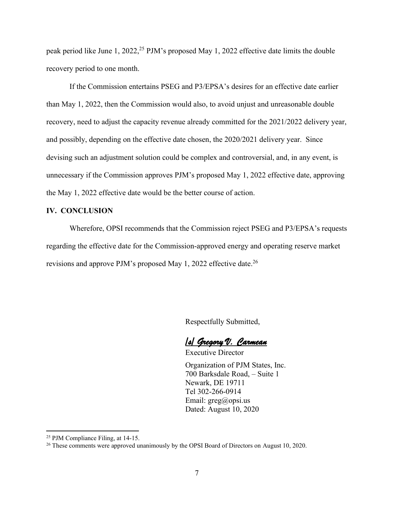peak period like June 1, 2022,<sup>25</sup> PJM's proposed May 1, 2022 effective date limits the double recovery period to one month.

If the Commission entertains PSEG and P3/EPSA's desires for an effective date earlier than May 1, 2022, then the Commission would also, to avoid unjust and unreasonable double recovery, need to adjust the capacity revenue already committed for the 2021/2022 delivery year, and possibly, depending on the effective date chosen, the 2020/2021 delivery year. Since devising such an adjustment solution could be complex and controversial, and, in any event, is unnecessary if the Commission approves PJM's proposed May 1, 2022 effective date, approving the May 1, 2022 effective date would be the better course of action.

## **IV. CONCLUSION**

Wherefore, OPSI recommends that the Commission reject PSEG and P3/EPSA's requests regarding the effective date for the Commission-approved energy and operating reserve market revisions and approve PJM's proposed May 1, 2022 effective date.<sup>26</sup>

Respectfully Submitted,

/s/ Gregory V. Carmean

Executive Director Organization of PJM States, Inc. 700 Barksdale Road, – Suite 1 Newark, DE 19711 Tel 302-266-0914 Email: greg@opsi.us Dated: August 10, 2020

<sup>25</sup> PJM Compliance Filing, at 14-15.

<sup>&</sup>lt;sup>26</sup> These comments were approved unanimously by the OPSI Board of Directors on August 10, 2020.